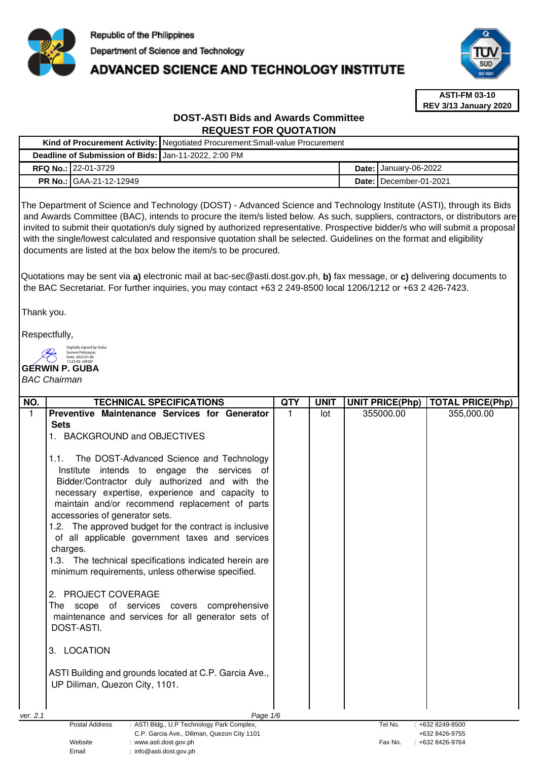

# **ADVANCED SCIENCE AND TECHNOLOGY INSTITUTE**



**ASTI-FM 03-10 REV 3/13 January 2020**

# **DOST-ASTI Bids and Awards Committee REQUEST FOR QUOTATION**

|  |                                                      | Kind of Procurement Activity:   Negotiated Procurement: Small-value Procurement |  |                                 |
|--|------------------------------------------------------|---------------------------------------------------------------------------------|--|---------------------------------|
|  | Deadline of Submission of Bids: Jan-11-2022, 2:00 PM |                                                                                 |  |                                 |
|  | <b>RFQ No.: 22-01-3729</b>                           |                                                                                 |  | <b>Date:   January-06-2022</b>  |
|  | <b>PR No.: GAA-21-12-12949</b>                       |                                                                                 |  | <b>Date: I</b> December-01-2021 |

The Department of Science and Technology (DOST) - Advanced Science and Technology Institute (ASTI), through its Bids and Awards Committee (BAC), intends to procure the item/s listed below. As such, suppliers, contractors, or distributors are invited to submit their quotation/s duly signed by authorized representative. Prospective bidder/s who will submit a proposal with the single/lowest calculated and responsive quotation shall be selected. Guidelines on the format and eligibility documents are listed at the box below the item/s to be procured.

Quotations may be sent via **a)** electronic mail at bac-sec@asti.dost.gov.ph, **b)** fax message, or **c)** delivering documents to the BAC Secretariat. For further inquiries, you may contact +63 2 249-8500 local 1206/1212 or +63 2 426-7423.

Thank you.

Respectfully,

# **GERWIN P. GUBA**  Digitally signed by Guba Gerwin Policarpio Date: 2022.01.06 13:33:40 +08'00'

# BAC Chairman

| NO.      | <b>TECHNICAL SPECIFICATIONS</b>                                                 | <b>QTY</b> | <b>UNIT</b> | <b>UNIT PRICE(Php)</b> | <b>TOTAL PRICE(Php)</b> |
|----------|---------------------------------------------------------------------------------|------------|-------------|------------------------|-------------------------|
| 1        | Preventive Maintenance Services for Generator                                   | 1          | lot         | 355000.00              | 355,000.00              |
|          | <b>Sets</b>                                                                     |            |             |                        |                         |
|          | 1. BACKGROUND and OBJECTIVES                                                    |            |             |                        |                         |
|          |                                                                                 |            |             |                        |                         |
|          | The DOST-Advanced Science and Technology<br>1.1.                                |            |             |                        |                         |
|          | Institute intends to engage the services of                                     |            |             |                        |                         |
|          | Bidder/Contractor duly authorized and with the                                  |            |             |                        |                         |
|          | necessary expertise, experience and capacity to                                 |            |             |                        |                         |
|          | maintain and/or recommend replacement of parts                                  |            |             |                        |                         |
|          | accessories of generator sets.                                                  |            |             |                        |                         |
|          | 1.2. The approved budget for the contract is inclusive                          |            |             |                        |                         |
|          | of all applicable government taxes and services                                 |            |             |                        |                         |
|          | charges.                                                                        |            |             |                        |                         |
|          | 1.3. The technical specifications indicated herein are                          |            |             |                        |                         |
|          | minimum requirements, unless otherwise specified.                               |            |             |                        |                         |
|          |                                                                                 |            |             |                        |                         |
|          | 2. PROJECT COVERAGE                                                             |            |             |                        |                         |
|          | The scope of services covers comprehensive                                      |            |             |                        |                         |
|          | maintenance and services for all generator sets of                              |            |             |                        |                         |
|          | DOST-ASTI.                                                                      |            |             |                        |                         |
|          |                                                                                 |            |             |                        |                         |
|          | 3. LOCATION                                                                     |            |             |                        |                         |
|          |                                                                                 |            |             |                        |                         |
|          | ASTI Building and grounds located at C.P. Garcia Ave.,                          |            |             |                        |                         |
|          | UP Diliman, Quezon City, 1101.                                                  |            |             |                        |                         |
|          |                                                                                 |            |             |                        |                         |
|          |                                                                                 |            |             |                        |                         |
| ver. 2.1 | Page 1/6<br><b>Postal Address</b><br>: ASTI Bldg., U.P Technology Park Complex, |            |             | Tel No.                | +632 8249-8500          |
|          | C.P. Garcia Ave., Diliman, Quezon City 1101                                     |            |             |                        | +632 8426-9755          |

Website : www.asti.dost.gov.ph Fax No. : +632 8426-9764

Email : info@asti.dost.gov.ph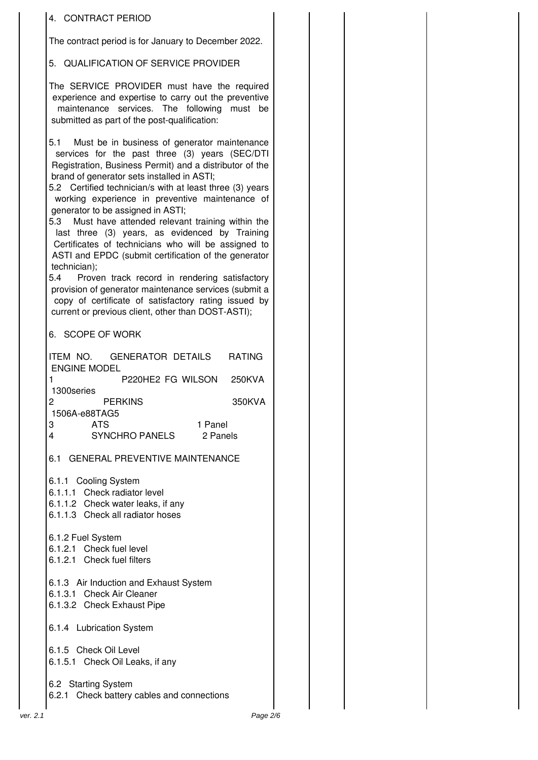|          | 4. CONTRACT PERIOD                                                                                                                                                                                                                                                                                                                                                                                                                                                                                                                                                                                                                                                                                                                                                                                                                        |  |
|----------|-------------------------------------------------------------------------------------------------------------------------------------------------------------------------------------------------------------------------------------------------------------------------------------------------------------------------------------------------------------------------------------------------------------------------------------------------------------------------------------------------------------------------------------------------------------------------------------------------------------------------------------------------------------------------------------------------------------------------------------------------------------------------------------------------------------------------------------------|--|
|          | The contract period is for January to December 2022.                                                                                                                                                                                                                                                                                                                                                                                                                                                                                                                                                                                                                                                                                                                                                                                      |  |
|          | 5. QUALIFICATION OF SERVICE PROVIDER                                                                                                                                                                                                                                                                                                                                                                                                                                                                                                                                                                                                                                                                                                                                                                                                      |  |
|          | The SERVICE PROVIDER must have the required<br>experience and expertise to carry out the preventive<br>maintenance services. The following must be<br>submitted as part of the post-qualification:                                                                                                                                                                                                                                                                                                                                                                                                                                                                                                                                                                                                                                        |  |
|          | 5.1<br>Must be in business of generator maintenance<br>services for the past three (3) years (SEC/DTI<br>Registration, Business Permit) and a distributor of the<br>brand of generator sets installed in ASTI;<br>5.2 Certified technician/s with at least three (3) years<br>working experience in preventive maintenance of<br>generator to be assigned in ASTI;<br>5.3 Must have attended relevant training within the<br>last three (3) years, as evidenced by Training<br>Certificates of technicians who will be assigned to<br>ASTI and EPDC (submit certification of the generator<br>technician);<br>5.4<br>Proven track record in rendering satisfactory<br>provision of generator maintenance services (submit a<br>copy of certificate of satisfactory rating issued by<br>current or previous client, other than DOST-ASTI); |  |
|          | 6. SCOPE OF WORK                                                                                                                                                                                                                                                                                                                                                                                                                                                                                                                                                                                                                                                                                                                                                                                                                          |  |
|          | ITEM NO. GENERATOR DETAILS<br><b>RATING</b><br><b>ENGINE MODEL</b><br>P220HE2 FG WILSON<br>250KVA<br>1                                                                                                                                                                                                                                                                                                                                                                                                                                                                                                                                                                                                                                                                                                                                    |  |
|          | 1300 series<br>2<br><b>PERKINS</b><br>350KVA<br>1506A-e88TAG5<br>3<br><b>ATS</b><br>1 Panel<br>SYNCHRO PANELS 2 Panels<br>4                                                                                                                                                                                                                                                                                                                                                                                                                                                                                                                                                                                                                                                                                                               |  |
|          | 6.1 GENERAL PREVENTIVE MAINTENANCE                                                                                                                                                                                                                                                                                                                                                                                                                                                                                                                                                                                                                                                                                                                                                                                                        |  |
|          | 6.1.1 Cooling System<br>6.1.1.1 Check radiator level<br>6.1.1.2 Check water leaks, if any<br>6.1.1.3 Check all radiator hoses                                                                                                                                                                                                                                                                                                                                                                                                                                                                                                                                                                                                                                                                                                             |  |
|          | 6.1.2 Fuel System<br>6.1.2.1 Check fuel level<br>6.1.2.1 Check fuel filters                                                                                                                                                                                                                                                                                                                                                                                                                                                                                                                                                                                                                                                                                                                                                               |  |
|          | 6.1.3 Air Induction and Exhaust System<br>6.1.3.1 Check Air Cleaner<br>6.1.3.2 Check Exhaust Pipe                                                                                                                                                                                                                                                                                                                                                                                                                                                                                                                                                                                                                                                                                                                                         |  |
|          | 6.1.4 Lubrication System                                                                                                                                                                                                                                                                                                                                                                                                                                                                                                                                                                                                                                                                                                                                                                                                                  |  |
|          | 6.1.5 Check Oil Level<br>6.1.5.1 Check Oil Leaks, if any                                                                                                                                                                                                                                                                                                                                                                                                                                                                                                                                                                                                                                                                                                                                                                                  |  |
|          | 6.2 Starting System<br>6.2.1 Check battery cables and connections                                                                                                                                                                                                                                                                                                                                                                                                                                                                                                                                                                                                                                                                                                                                                                         |  |
| ver. 2.1 | Page 2/6                                                                                                                                                                                                                                                                                                                                                                                                                                                                                                                                                                                                                                                                                                                                                                                                                                  |  |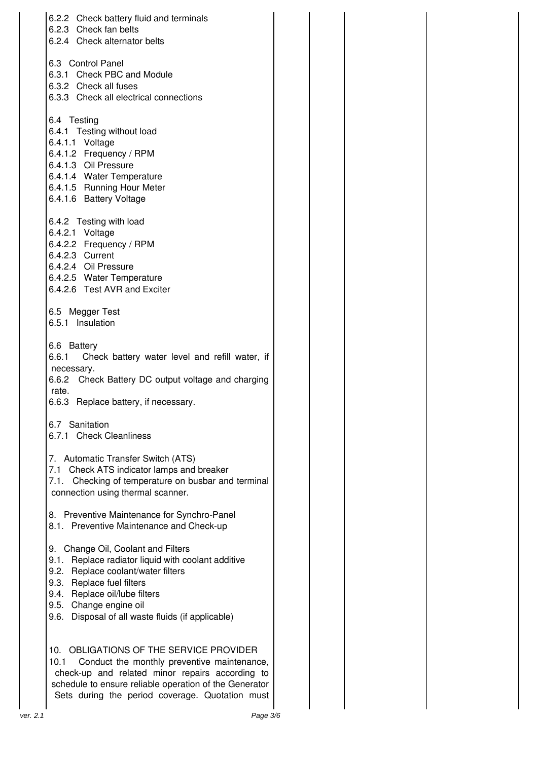|                                             | 6.2.2 Check battery fluid and terminals<br>6.2.3 Check fan belts<br>6.2.4 Check alternator belts                                                                                                                                                                       |  |
|---------------------------------------------|------------------------------------------------------------------------------------------------------------------------------------------------------------------------------------------------------------------------------------------------------------------------|--|
|                                             | 6.3 Control Panel<br>6.3.1 Check PBC and Module<br>6.3.2 Check all fuses<br>6.3.3 Check all electrical connections                                                                                                                                                     |  |
| 6.4 Testing                                 | 6.4.1 Testing without load<br>6.4.1.1 Voltage<br>6.4.1.2 Frequency / RPM<br>6.4.1.3 Oil Pressure<br>6.4.1.4 Water Temperature<br>6.4.1.5 Running Hour Meter<br>6.4.1.6 Battery Voltage                                                                                 |  |
|                                             | 6.4.2 Testing with load<br>6.4.2.1 Voltage<br>6.4.2.2 Frequency / RPM<br>6.4.2.3 Current<br>6.4.2.4 Oil Pressure<br>6.4.2.5 Water Temperature<br>6.4.2.6 Test AVR and Exciter                                                                                          |  |
|                                             | 6.5 Megger Test<br>6.5.1 Insulation                                                                                                                                                                                                                                    |  |
| 6.6 Battery<br>6.6.1<br>necessary.<br>rate. | Check battery water level and refill water, if<br>6.6.2 Check Battery DC output voltage and charging<br>6.6.3 Replace battery, if necessary.                                                                                                                           |  |
| 6.7 Sanitation                              | 6.7.1 Check Cleanliness                                                                                                                                                                                                                                                |  |
|                                             | 7. Automatic Transfer Switch (ATS)<br>7.1 Check ATS indicator lamps and breaker<br>7.1. Checking of temperature on busbar and terminal<br>connection using thermal scanner.                                                                                            |  |
|                                             | 8. Preventive Maintenance for Synchro-Panel<br>8.1. Preventive Maintenance and Check-up                                                                                                                                                                                |  |
| 9.1.                                        | 9. Change Oil, Coolant and Filters<br>Replace radiator liquid with coolant additive<br>9.2. Replace coolant/water filters<br>9.3. Replace fuel filters<br>9.4. Replace oil/lube filters<br>9.5. Change engine oil<br>9.6. Disposal of all waste fluids (if applicable) |  |
| 10.1                                        | 10. OBLIGATIONS OF THE SERVICE PROVIDER<br>Conduct the monthly preventive maintenance,<br>check-up and related minor repairs according to<br>schedule to ensure reliable operation of the Generator<br>Sets during the period coverage. Quotation must                 |  |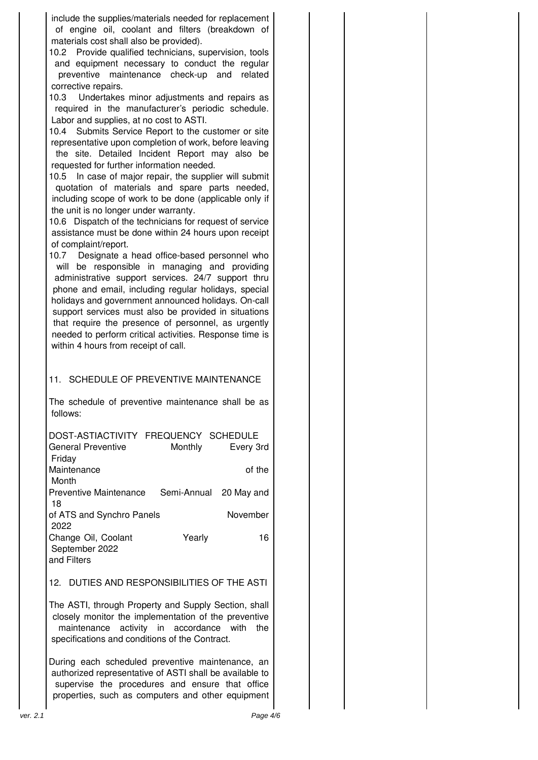| include the supplies/materials needed for replacement<br>of engine oil, coolant and filters (breakdown of<br>materials cost shall also be provided).<br>10.2 Provide qualified technicians, supervision, tools<br>and equipment necessary to conduct the regular<br>preventive maintenance check-up and related<br>corrective repairs.<br>Undertakes minor adjustments and repairs as<br>10.3<br>required in the manufacturer's periodic schedule.<br>Labor and supplies, at no cost to ASTI.<br>10.4 Submits Service Report to the customer or site<br>representative upon completion of work, before leaving<br>the site. Detailed Incident Report may also be<br>requested for further information needed.<br>10.5 In case of major repair, the supplier will submit<br>quotation of materials and spare parts needed,<br>including scope of work to be done (applicable only if<br>the unit is no longer under warranty.<br>10.6 Dispatch of the technicians for request of service<br>assistance must be done within 24 hours upon receipt<br>of complaint/report.<br>10.7 Designate a head office-based personnel who<br>will be responsible in managing and providing<br>administrative support services. 24/7 support thru<br>phone and email, including regular holidays, special<br>holidays and government announced holidays. On-call<br>support services must also be provided in situations<br>that require the presence of personnel, as urgently<br>needed to perform critical activities. Response time is<br>within 4 hours from receipt of call. |  |  |  |  |
|---------------------------------------------------------------------------------------------------------------------------------------------------------------------------------------------------------------------------------------------------------------------------------------------------------------------------------------------------------------------------------------------------------------------------------------------------------------------------------------------------------------------------------------------------------------------------------------------------------------------------------------------------------------------------------------------------------------------------------------------------------------------------------------------------------------------------------------------------------------------------------------------------------------------------------------------------------------------------------------------------------------------------------------------------------------------------------------------------------------------------------------------------------------------------------------------------------------------------------------------------------------------------------------------------------------------------------------------------------------------------------------------------------------------------------------------------------------------------------------------------------------------------------------------------------------------|--|--|--|--|
| 11. SCHEDULE OF PREVENTIVE MAINTENANCE                                                                                                                                                                                                                                                                                                                                                                                                                                                                                                                                                                                                                                                                                                                                                                                                                                                                                                                                                                                                                                                                                                                                                                                                                                                                                                                                                                                                                                                                                                                              |  |  |  |  |
| The schedule of preventive maintenance shall be as<br>follows:                                                                                                                                                                                                                                                                                                                                                                                                                                                                                                                                                                                                                                                                                                                                                                                                                                                                                                                                                                                                                                                                                                                                                                                                                                                                                                                                                                                                                                                                                                      |  |  |  |  |
| DOST-ASTIACTIVITY FREQUENCY SCHEDULE<br>General Preventive<br>Monthly<br>Every 3rd<br>Friday                                                                                                                                                                                                                                                                                                                                                                                                                                                                                                                                                                                                                                                                                                                                                                                                                                                                                                                                                                                                                                                                                                                                                                                                                                                                                                                                                                                                                                                                        |  |  |  |  |
| Maintenance<br>of the<br>Month                                                                                                                                                                                                                                                                                                                                                                                                                                                                                                                                                                                                                                                                                                                                                                                                                                                                                                                                                                                                                                                                                                                                                                                                                                                                                                                                                                                                                                                                                                                                      |  |  |  |  |
| Preventive Maintenance<br>Semi-Annual 20 May and<br>18                                                                                                                                                                                                                                                                                                                                                                                                                                                                                                                                                                                                                                                                                                                                                                                                                                                                                                                                                                                                                                                                                                                                                                                                                                                                                                                                                                                                                                                                                                              |  |  |  |  |
|                                                                                                                                                                                                                                                                                                                                                                                                                                                                                                                                                                                                                                                                                                                                                                                                                                                                                                                                                                                                                                                                                                                                                                                                                                                                                                                                                                                                                                                                                                                                                                     |  |  |  |  |
| November<br>of ATS and Synchro Panels                                                                                                                                                                                                                                                                                                                                                                                                                                                                                                                                                                                                                                                                                                                                                                                                                                                                                                                                                                                                                                                                                                                                                                                                                                                                                                                                                                                                                                                                                                                               |  |  |  |  |
| 2022<br>Change Oil, Coolant<br>Yearly<br>16<br>September 2022<br>and Filters                                                                                                                                                                                                                                                                                                                                                                                                                                                                                                                                                                                                                                                                                                                                                                                                                                                                                                                                                                                                                                                                                                                                                                                                                                                                                                                                                                                                                                                                                        |  |  |  |  |
| 12. DUTIES AND RESPONSIBILITIES OF THE ASTI                                                                                                                                                                                                                                                                                                                                                                                                                                                                                                                                                                                                                                                                                                                                                                                                                                                                                                                                                                                                                                                                                                                                                                                                                                                                                                                                                                                                                                                                                                                         |  |  |  |  |
| The ASTI, through Property and Supply Section, shall<br>closely monitor the implementation of the preventive<br>in<br>with<br>the<br>maintenance activity<br>accordance<br>specifications and conditions of the Contract.                                                                                                                                                                                                                                                                                                                                                                                                                                                                                                                                                                                                                                                                                                                                                                                                                                                                                                                                                                                                                                                                                                                                                                                                                                                                                                                                           |  |  |  |  |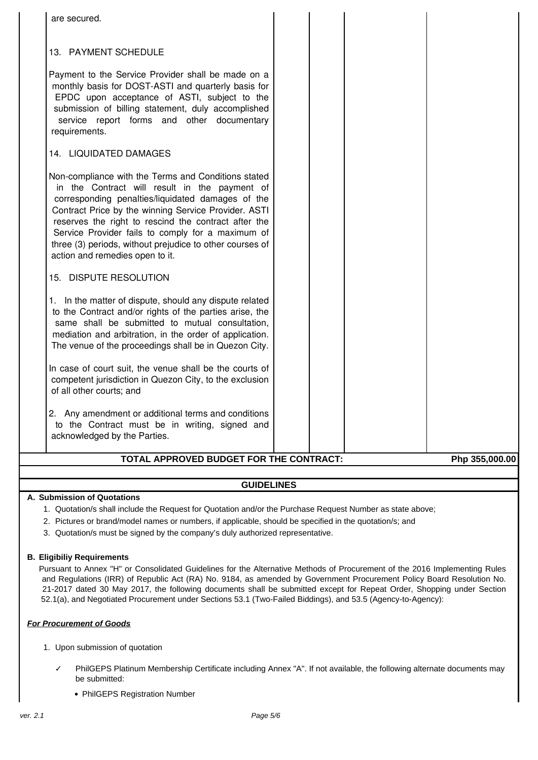| are secured.                                                                                                                                                                                                                                                                                                                                                                                                                  |  |  |  |  |
|-------------------------------------------------------------------------------------------------------------------------------------------------------------------------------------------------------------------------------------------------------------------------------------------------------------------------------------------------------------------------------------------------------------------------------|--|--|--|--|
| 13. PAYMENT SCHEDULE                                                                                                                                                                                                                                                                                                                                                                                                          |  |  |  |  |
| Payment to the Service Provider shall be made on a<br>monthly basis for DOST-ASTI and quarterly basis for<br>EPDC upon acceptance of ASTI, subject to the<br>submission of billing statement, duly accomplished<br>service report forms and other documentary<br>requirements.                                                                                                                                                |  |  |  |  |
| 14. LIQUIDATED DAMAGES                                                                                                                                                                                                                                                                                                                                                                                                        |  |  |  |  |
| Non-compliance with the Terms and Conditions stated<br>in the Contract will result in the payment of<br>corresponding penalties/liquidated damages of the<br>Contract Price by the winning Service Provider. ASTI<br>reserves the right to rescind the contract after the<br>Service Provider fails to comply for a maximum of<br>three (3) periods, without prejudice to other courses of<br>action and remedies open to it. |  |  |  |  |
| 15. DISPUTE RESOLUTION                                                                                                                                                                                                                                                                                                                                                                                                        |  |  |  |  |
| 1. In the matter of dispute, should any dispute related<br>to the Contract and/or rights of the parties arise, the<br>same shall be submitted to mutual consultation,<br>mediation and arbitration, in the order of application.<br>The venue of the proceedings shall be in Quezon City.                                                                                                                                     |  |  |  |  |
| In case of court suit, the venue shall be the courts of<br>competent jurisdiction in Quezon City, to the exclusion<br>of all other courts; and                                                                                                                                                                                                                                                                                |  |  |  |  |
| 2. Any amendment or additional terms and conditions<br>to the Contract must be in writing, signed and<br>acknowledged by the Parties.                                                                                                                                                                                                                                                                                         |  |  |  |  |
| TOTAL APPROVED BUDGET FOR THE CONTRACT:<br>Php 355,000.00                                                                                                                                                                                                                                                                                                                                                                     |  |  |  |  |

# **GUIDELINES**

# **A. Submission of Quotations**

- 1. Quotation/s shall include the Request for Quotation and/or the Purchase Request Number as state above;
- 2. Pictures or brand/model names or numbers, if applicable, should be specified in the quotation/s; and
- 3. Quotation/s must be signed by the company's duly authorized representative.

#### **B. Eligibiliy Requirements**

Pursuant to Annex "H" or Consolidated Guidelines for the Alternative Methods of Procurement of the 2016 Implementing Rules and Regulations (IRR) of Republic Act (RA) No. 9184, as amended by Government Procurement Policy Board Resolution No. 21-2017 dated 30 May 2017, the following documents shall be submitted except for Repeat Order, Shopping under Section 52.1(a), and Negotiated Procurement under Sections 53.1 (Two-Failed Biddings), and 53.5 (Agency-to-Agency):

## **For Procurement of Goods**

- 1. Upon submission of quotation
	- PhilGEPS Platinum Membership Certificate including Annex "A". If not available, the following alternate documents may be submitted:
		- PhilGEPS Registration Number